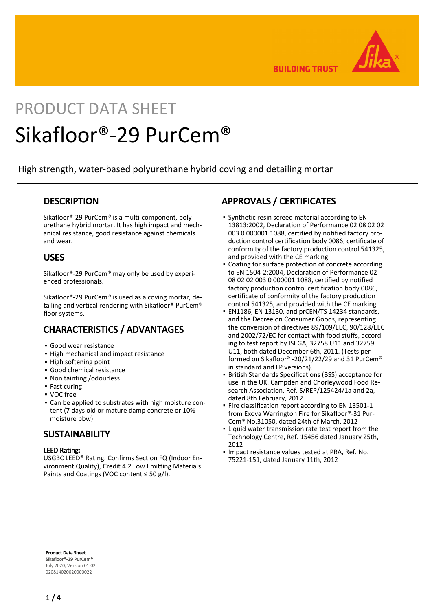

**BUILDING TRUST** 

# PRODUCT DATA SHEET Sikafloor®-29 PurCem®

High strength, water-based polyurethane hybrid coving and detailing mortar

### **DESCRIPTION**

Sikafloor®-29 PurCem® is a multi-component, polyurethane hybrid mortar. It has high impact and mechanical resistance, good resistance against chemicals and wear.

### USES

Sikafloor®-29 PurCem® may only be used by experienced professionals.

Sikafloor®-29 PurCem® is used as a coving mortar, detailing and vertical rendering with Sikafloor® PurCem® floor systems.

## CHARACTERISTICS / ADVANTAGES

- Good wear resistance
- High mechanical and impact resistance
- High softening point
- Good chemical resistance
- Non tainting /odourless
- Fast curing
- VOC free
- Can be applied to substrates with high moisture con-▪ tent (7 days old or mature damp concrete or 10% moisture pbw)

### **SUSTAINABILITY**

#### LEED Rating:

USGBC LEED® Rating. Confirms Section FQ (Indoor Environment Quality), Credit 4.2 Low Emitting Materials Paints and Coatings (VOC content ≤ 50 g/l).

### APPROVALS / CERTIFICATES

- **•** Synthetic resin screed material according to EN 13813:2002, Declaration of Performance 02 08 02 02 003 0 000001 1088, certified by notified factory production control certification body 0086, certificate of conformity of the factory production control 541325, and provided with the CE marking.
- Coating for surface protection of concrete according to EN 1504-2:2004, Declaration of Performance 02 08 02 02 003 0 000001 1088, certified by notified factory production control certification body 0086, certificate of conformity of the factory production control 541325, and provided with the CE marking. ▪
- EN1186, EN 13130, and prCEN/TS 14234 standards, and the Decree on Consumer Goods, representing the conversion of directives 89/109/EEC, 90/128/EEC and 2002/72/EC for contact with food stuffs, according to test report by ISEGA, 32758 U11 and 32759 U11, both dated December 6th, 2011. (Tests performed on Sikafloor® -20/21/22/29 and 31 PurCem® in standard and LP versions). ▪
- British Standards Specifications (BSS) acceptance for use in the UK. Campden and Chorleywood Food Research Association, Ref. S/REP/125424/1a and 2a, dated 8th February, 2012 ▪
- Fire classification report according to EN 13501-1 from Exova Warrington Fire for Sikafloor®-31 Pur-Cem® No.31050, dated 24th of March, 2012
- **.** Liquid water transmission rate test report from the Technology Centre, Ref. 15456 dated January 25th, 2012
- **.** Impact resistance values tested at PRA, Ref. No. 75221-151, dated January 11th, 2012

Product Data Sheet Sikafloor®-29 PurCem® July 2020, Version 01.02 020814020020000022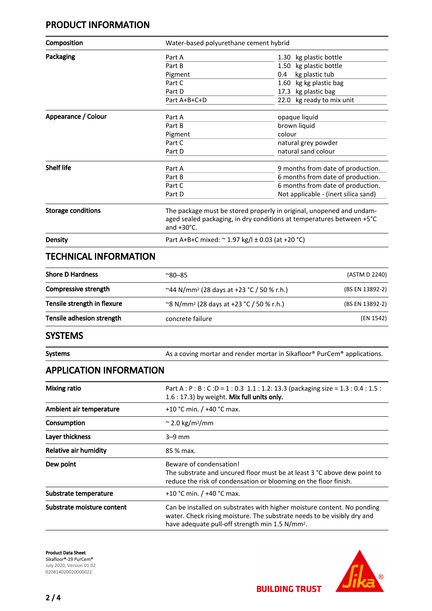### PRODUCT INFORMATION

| Composition                                                                                                                                                                                                          | Water-based polyurethane cement hybrid                                                      |                                                                                                                                               |  |
|----------------------------------------------------------------------------------------------------------------------------------------------------------------------------------------------------------------------|---------------------------------------------------------------------------------------------|-----------------------------------------------------------------------------------------------------------------------------------------------|--|
| Packaging                                                                                                                                                                                                            | Part A                                                                                      | 1.30 kg plastic bottle                                                                                                                        |  |
|                                                                                                                                                                                                                      | Part B                                                                                      | 1.50 kg plastic bottle                                                                                                                        |  |
|                                                                                                                                                                                                                      | Pigment                                                                                     | kg plastic tub<br>0.4                                                                                                                         |  |
|                                                                                                                                                                                                                      | Part C                                                                                      | kg kg plastic bag<br>1.60                                                                                                                     |  |
|                                                                                                                                                                                                                      | Part D                                                                                      | 17.3 kg plastic bag                                                                                                                           |  |
|                                                                                                                                                                                                                      | Part A+B+C+D                                                                                | 22.0 kg ready to mix unit                                                                                                                     |  |
| Appearance / Colour                                                                                                                                                                                                  | Part A                                                                                      | opaque liquid                                                                                                                                 |  |
|                                                                                                                                                                                                                      | Part B                                                                                      | brown liquid                                                                                                                                  |  |
|                                                                                                                                                                                                                      | Pigment                                                                                     | colour                                                                                                                                        |  |
|                                                                                                                                                                                                                      | Part C                                                                                      | natural grey powder                                                                                                                           |  |
|                                                                                                                                                                                                                      | Part D                                                                                      | natural sand colour                                                                                                                           |  |
| <b>Shelf life</b>                                                                                                                                                                                                    | Part A                                                                                      | 9 months from date of production.                                                                                                             |  |
|                                                                                                                                                                                                                      | Part B                                                                                      | 6 months from date of production.                                                                                                             |  |
|                                                                                                                                                                                                                      | Part C                                                                                      | 6 months from date of production.                                                                                                             |  |
|                                                                                                                                                                                                                      | Part D                                                                                      | Not applicable - (inert silica sand)                                                                                                          |  |
| <b>Storage conditions</b>                                                                                                                                                                                            | and +30°C.                                                                                  | The package must be stored properly in original, unopened and undam-<br>aged sealed packaging, in dry conditions at temperatures between +5°C |  |
| <b>Density</b>                                                                                                                                                                                                       | Part A+B+C mixed: ~ 1.97 kg/l ± 0.03 (at +20 °C)                                            |                                                                                                                                               |  |
| <b>TECHNICAL INFORMATION</b>                                                                                                                                                                                         |                                                                                             |                                                                                                                                               |  |
| <b>Shore D Hardness</b>                                                                                                                                                                                              | $^{\sim}80 - 85$                                                                            | (ASTM D 2240)                                                                                                                                 |  |
| <b>Compressive strength</b>                                                                                                                                                                                          | ~44 N/mm <sup>2</sup> (28 days at +23 °C / 50 % r.h.)                                       | (BS EN 13892-2)                                                                                                                               |  |
|                                                                                                                                                                                                                      |                                                                                             |                                                                                                                                               |  |
|                                                                                                                                                                                                                      | ~8 N/mm <sup>2</sup> (28 days at +23 °C / 50 % r.h.)                                        | (BS EN 13892-2)                                                                                                                               |  |
|                                                                                                                                                                                                                      | concrete failure                                                                            | (EN 1542)                                                                                                                                     |  |
|                                                                                                                                                                                                                      |                                                                                             |                                                                                                                                               |  |
|                                                                                                                                                                                                                      |                                                                                             | As a coving mortar and render mortar in Sikafloor® PurCem® applications.                                                                      |  |
|                                                                                                                                                                                                                      |                                                                                             |                                                                                                                                               |  |
| <b>Mixing ratio</b>                                                                                                                                                                                                  | 1.6 : 17.3) by weight. Mix full units only.                                                 | Part A : P : B : C : D = 1 : 0.3 1.1 : 1.2: 13.3 (packaging size = 1.3 : 0.4 : 1.5 :                                                          |  |
|                                                                                                                                                                                                                      | +10 °C min. / +40 °C max.                                                                   |                                                                                                                                               |  |
|                                                                                                                                                                                                                      | $\approx$ 2.0 kg/m <sup>2</sup> /mm                                                         |                                                                                                                                               |  |
|                                                                                                                                                                                                                      | $3-9$ mm                                                                                    |                                                                                                                                               |  |
| Tensile strength in flexure<br>Tensile adhesion strength<br><b>SYSTEMS</b><br><b>Systems</b><br><b>APPLICATION INFORMATION</b><br>Ambient air temperature<br>Consumption<br>Layer thickness<br>Relative air humidity | 85 % max.                                                                                   |                                                                                                                                               |  |
| Dew point                                                                                                                                                                                                            | Beware of condensation!<br>reduce the risk of condensation or blooming on the floor finish. | The substrate and uncured floor must be at least 3 °C above dew point to                                                                      |  |

Substrate moisture content Can be installed on substrates with higher moisture content. No ponding water. Check rising moisture. The substrate needs to be visibly dry and have adequate pull-off strength min 1.5 N/mm2.

Product Data Sheet Sikafloor®-29 PurCem® July 2020, Version 01.02 020814020020000022



**BUILDING TRUST**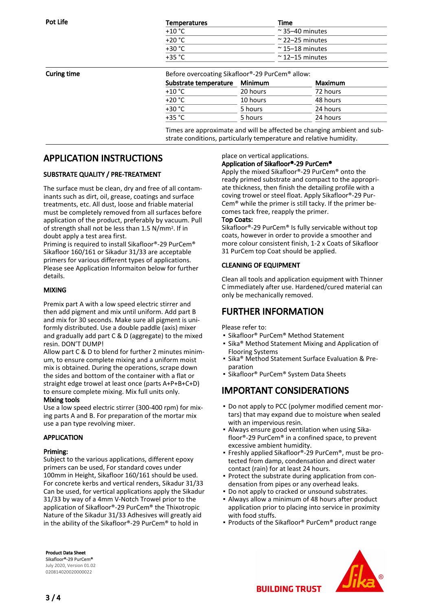| Pot Life | <b>Temperatures</b> | Time                    |
|----------|---------------------|-------------------------|
|          | $+10 °C$            | $\approx$ 35–40 minutes |
|          | $+20 °C$            | $\approx$ 22–25 minutes |
|          | $+30 °C$            | $\approx$ 15–18 minutes |
|          | $+35 °C$            | $\approx$ 12–15 minutes |
|          |                     |                         |

**Curing time** The Before overcoating Sikafloor®-29 PurCem<sup>®</sup> allow:

| Substrate temperature Minimum |          | Maximum  |
|-------------------------------|----------|----------|
| $+10 °C$                      | 20 hours | 72 hours |
| $+20 °C$                      | 10 hours | 48 hours |
| $+30 °C$                      | 5 hours  | 24 hours |
| $+35 °C$                      | 5 hours  | 24 hours |

Times are approximate and will be affected be changing ambient and substrate conditions, particularly temperature and relative humidity.

### APPLICATION INSTRUCTIONS

#### SUBSTRATE QUALITY / PRE-TREATMENT

The surface must be clean, dry and free of all contaminants such as dirt, oil, grease, coatings and surface treatments, etc. All dust, loose and friable material must be completely removed from all surfaces before application of the product, preferably by vacuum. Pull of strength shall not be less than 1.5 N/mm2. If in doubt apply a test area first.

Priming is required to install Sikafloor®-29 PurCem® Sikafloor 160/161 or Sikadur 31/33 are acceptable primers for various different types of applications. Please see Application Informaiton below for further details.

#### MIXING

Premix part A with a low speed electric stirrer and then add pigment and mix until uniform. Add part B and mix for 30 seconds. Make sure all pigment is uniformly distributed. Use a double paddle (axis) mixer and gradually add part C & D (aggregate) to the mixed resin. DON'T DUMP!

Allow part C & D to blend for further 2 minutes minimum, to ensure complete mixing and a uniform moist mix is obtained. During the operations, scrape down the sides and bottom of the container with a flat or straight edge trowel at least once (parts A+P+B+C+D) to ensure complete mixing. Mix full units only.

#### Mixing tools

Use a low speed electric stirrer (300-400 rpm) for mixing parts A and B. For preparation of the mortar mix use a pan type revolving mixer.

#### APPLICATION

#### Priming:

Subject to the various applications, different epoxy primers can be used, For standard coves under 100mm in Height, Sikafloor 160/161 should be used. For concrete kerbs and vertical renders, Sikadur 31/33 Can be used, for vertical applications apply the Sikadur 31/33 by way of a 4mm V-Notch Trowel prior to the application of Sikafloor®-29 PurCem® the Thixotropic Nature of the Sikadur 31/33 Adhesives will greatly aid in the ability of the Sikafloor®-29 PurCem® to hold in

Product Data Sheet Sikafloor®-29 PurCem® July 2020, Version 01.02 020814020020000022

### place on vertical applications. Application of Sikafloor®-29 PurCem®

Apply the mixed Sikafloor®-29 PurCem® onto the ready primed substrate and compact to the appropriate thickness, then finish the detailing profile with a coving trowel or steel float. Apply Sikafloor®-29 Pur-Cem® while the primer is still tacky. If the primer becomes tack free, reapply the primer.

#### Top Coats:

Sikafloor®-29 PurCem® Is fully servicable without top coats, however in order to provide a smoother and more colour consistent finish, 1-2 x Coats of Sikafloor 31 PurCem top Coat should be applied.

#### CLEANING OF EQUIPMENT

Clean all tools and application equipment with Thinner C immediately after use. Hardened/cured material can only be mechanically removed.

### FURTHER INFORMATION

Please refer to:

- Sikafloor® PurCem® Method Statement
- Sika® Method Statement Mixing and Application of Flooring Systems
- **E** Sika<sup>®</sup> Method Statement Surface Evaluation & Preparation
- Sikafloor® PurCem® System Data Sheets

### IMPORTANT CONSIDERATIONS

- Do not apply to PCC (polymer modified cement mor-▪ tars) that may expand due to moisture when sealed with an impervious resin.
- Always ensure good ventilation when using Sika-▪ floor®-29 PurCem® in a confined space, to prevent excessive ambient humidity.
- Freshly applied Sikafloor®-29 PurCem®, must be pro-▪ tected from damp, condensation and direct water contact (rain) for at least 24 hours.
- Protect the substrate during application from condensation from pipes or any overhead leaks.
- Do not apply to cracked or unsound substrates.
- Always allow a minimum of 48 hours after product application prior to placing into service in proximity with food stuffs.
- Products of the Sikafloor<sup>®</sup> PurCem<sup>®</sup> product range



**BUILDING TRUST**